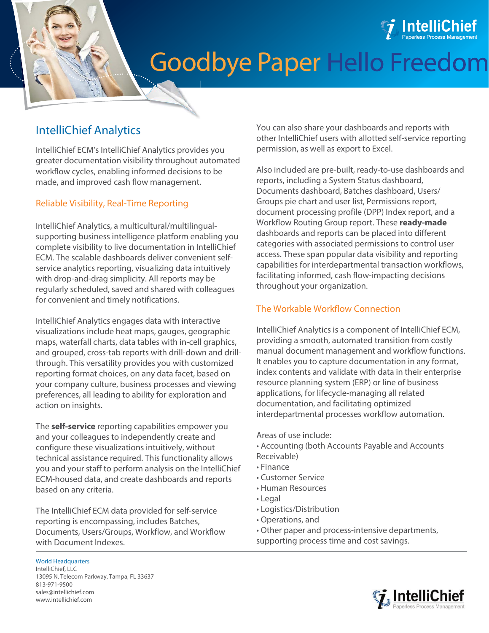

# Goodbye Paper Hello Freedom

# IntelliChief Analytics

IntelliChief ECM's IntelliChief Analytics provides you greater documentation visibility throughout automated workflow cycles, enabling informed decisions to be made, and improved cash flow management.

## Reliable Visibility, Real-Time Reporting

IntelliChief Analytics, a multicultural/multilingualsupporting business intelligence platform enabling you complete visibility to live documentation in IntelliChief ECM. The scalable dashboards deliver convenient selfservice analytics reporting, visualizing data intuitively with drop-and-drag simplicity. All reports may be regularly scheduled, saved and shared with colleagues for convenient and timely notifications.

IntelliChief Analytics engages data with interactive visualizations include heat maps, gauges, geographic maps, waterfall charts, data tables with in-cell graphics, and grouped, cross-tab reports with drill-down and drillthrough. This versatility provides you with customized reporting format choices, on any data facet, based on your company culture, business processes and viewing preferences, all leading to ability for exploration and action on insights.

The **self-service** reporting capabilities empower you and your colleagues to independently create and configure these visualizations intuitively, without technical assistance required. This functionality allows you and your staff to perform analysis on the IntelliChief ECM-housed data, and create dashboards and reports based on any criteria.

The IntelliChief ECM data provided for self-service reporting is encompassing, includes Batches, Documents, Users/Groups, Workflow, and Workflow with Document Indexes.

You can also share your dashboards and reports with other IntelliChief users with allotted self-service reporting permission, as well as export to Excel.

Also included are pre-built, ready-to-use dashboards and reports, including a System Status dashboard, Documents dashboard, Batches dashboard, Users/ Groups pie chart and user list, Permissions report, document processing profile (DPP) Index report, and a Workflow Routing Group report. These **ready-made** dashboards and reports can be placed into different categories with associated permissions to control user access. These span popular data visibility and reporting capabilities for interdepartmental transaction workflows, facilitating informed, cash flow-impacting decisions throughout your organization.

# The Workable Workflow Connection

IntelliChief Analytics is a component of IntelliChief ECM, providing a smooth, automated transition from costly manual document management and workflow functions. It enables you to capture documentation in any format, index contents and validate with data in their enterprise resource planning system (ERP) or line of business applications, for lifecycle-managing all related documentation, and facilitating optimized interdepartmental processes workflow automation.

#### Areas of use include:

- Accounting (both Accounts Payable and Accounts Receivable)
- Finance
- Customer Service
- Human Resources
- Legal
- Logistics/Distribution
- Operations, and
- Other paper and process-intensive departments,
- supporting process time and cost savings.



World Headquarters IntelliChief, LLC 13095 N. Telecom Parkway, Tampa, FL 33637 813-971-9500 [sales@intellichief.com](mailto:sales@intellichief.com)  [www.intellichief.com](http://www.intellichief.com)